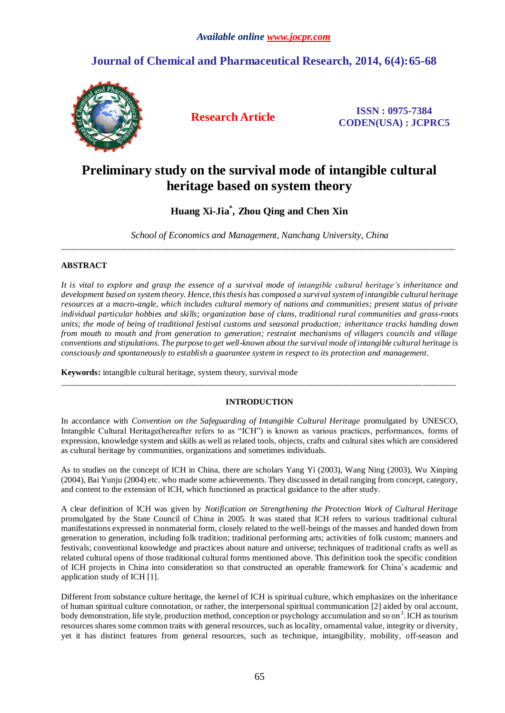## **Journal of Chemical and Pharmaceutical Research, 2014, 6(4):65-68**



**Research Article ISSN : 0975-7384 CODEN(USA) : JCPRC5**

# **Preliminary study on the survival mode of intangible cultural heritage based on system theory**

### **Huang Xi-Jia\* , Zhou Qing and Chen Xin**

*School of Economics and Management, Nanchang University, China* \_\_\_\_\_\_\_\_\_\_\_\_\_\_\_\_\_\_\_\_\_\_\_\_\_\_\_\_\_\_\_\_\_\_\_\_\_\_\_\_\_\_\_\_\_\_\_\_\_\_\_\_\_\_\_\_\_\_\_\_\_\_\_\_\_\_\_\_\_\_\_\_\_\_\_\_\_\_\_\_\_\_\_\_\_\_\_\_\_\_\_\_\_

#### **ABSTRACT**

*It is vital to explore and grasp the essence of a survival mode of intangible cultural heritage's inheritance and development based on system theory. Hence, this thesis has composed a survivalsystem of intangible cultural heritage resources at a macro-angle, which includes cultural memory of nations and communities; present status of private individual particular hobbies and skills; organization base of clans, traditional rural communities and grass-roots units; the mode of being of traditional festival customs and seasonal production; inheritance tracks handing down from mouth to mouth and from generation to generation; restraint mechanisms of villagers councils and village conventions and stipulations. The purpose to get well-known about the survival mode of intangible cultural heritage is consciously and spontaneously to establish a guarantee system in respect to its protection and management.*

**Keywords:** intangible cultural heritage, system theory, survival mode

#### **INTRODUCTION**

\_\_\_\_\_\_\_\_\_\_\_\_\_\_\_\_\_\_\_\_\_\_\_\_\_\_\_\_\_\_\_\_\_\_\_\_\_\_\_\_\_\_\_\_\_\_\_\_\_\_\_\_\_\_\_\_\_\_\_\_\_\_\_\_\_\_\_\_\_\_\_\_\_\_\_\_\_\_\_\_\_\_\_\_\_\_\_\_\_\_\_\_\_

In accordance with *Convention on the Safeguarding of Intangible Cultural Heritage* promulgated by UNESCO, Intangible Cultural Heritage(hereafter refers to as "ICH") is known as various practices, performances, forms of expression, knowledge system and skills as well as related tools, objects, crafts and cultural sites which are considered as cultural heritage by communities, organizations and sometimes individuals.

As to studies on the concept of ICH in China, there are scholars Yang Yi (2003), Wang Ning (2003), Wu Xinping (2004), Bai Yunju (2004) etc. who made some achievements. They discussed in detail ranging from concept, category, and content to the extension of ICH, which functioned as practical guidance to the after study.

A clear definition of ICH was given by *Notification on Strengthening the Protection Work of Cultural Heritage*  promulgated by the State Council of China in 2005. It was stated that ICH refers to various traditional cultural manifestations expressed in nonmaterial form, closely related to the well-beings of the masses and handed down from generation to generation, including folk tradition; traditional performing arts; activities of folk custom; manners and festivals; conventional knowledge and practices about nature and universe; techniques of traditional crafts as well as related cultural opens of those traditional cultural forms mentioned above. This definition took the specific condition of ICH projects in China into consideration so that constructed an operable framework for China's academic and application study of ICH [1].

Different from substance culture heritage, the kernel of ICH is spiritual culture, which emphasizes on the inheritance of human spiritual culture connotation, or rather, the interpersonal spiritual communication [2] aided by oral account, body demonstration, life style, production method, conception or psychology accumulation and so on<sup>3</sup>. ICH as tourism resources shares some common traits with general resources, such as locality, ornamental value, integrity or diversity, yet it has distinct features from general resources, such as technique, intangibility, mobility, off-season and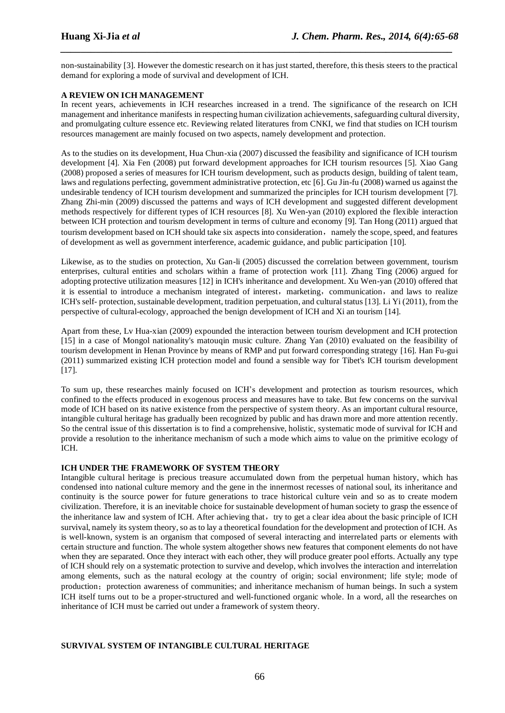non-sustainability [3]. However the domestic research on it has just started, therefore, this thesis steers to the practical demand for exploring a mode of survival and development of ICH.

*\_\_\_\_\_\_\_\_\_\_\_\_\_\_\_\_\_\_\_\_\_\_\_\_\_\_\_\_\_\_\_\_\_\_\_\_\_\_\_\_\_\_\_\_\_\_\_\_\_\_\_\_\_\_\_\_\_\_\_\_\_\_\_\_\_\_\_\_\_\_\_\_\_\_\_\_\_*

#### **A REVIEW ON ICH MANAGEMENT**

In recent years, achievements in ICH researches increased in a trend. The significance of the research on ICH management and inheritance manifests in respecting human civilization achievements, safeguarding cultural diversity, and promulgating culture essence etc. Reviewing related literatures from CNKI, we find that studies on ICH tourism resources management are mainly focused on two aspects, namely development and protection.

As to the studies on its development, Hua Chun-xia (2007) discussed the feasibility and significance of ICH tourism development [4]. Xia Fen (2008) put forward development approaches for ICH tourism resources [5]. Xiao Gang (2008) proposed a series of measures for ICH tourism development, such as products design, building of talent team, laws and regulations perfecting, government administrative protection, etc [6]. Gu Jin-fu (2008) warned us against the undesirable tendency of ICH tourism development and summarized the principles for ICH tourism development [7]. Zhang Zhi-min (2009) discussed the patterns and ways of ICH development and suggested different development methods respectively for different types of ICH resources [8]. Xu Wen-yan (2010) explored the flexible interaction between ICH protection and tourism development in terms of culture and economy [9]. Tan Hong (2011) argued that tourism development based on ICH should take six aspects into consideration, namely the scope, speed, and features of development as well as government interference, academic guidance, and public participation [10].

Likewise, as to the studies on protection, Xu Gan-li (2005) discussed the correlation between government, tourism enterprises, cultural entities and scholars within a frame of protection work [11]. Zhang Ting (2006) argued for adopting protective utilization measures [12] in ICH's inheritance and development. Xu Wen-yan (2010) offered that it is essential to introduce a mechanism integrated of interest, marketing, communication, and laws to realize ICH's self- protection, sustainable development, tradition perpetuation, and cultural status [13]. Li Yi (2011), from the perspective of cultural-ecology, approached the benign development of ICH and Xi an tourism [14].

Apart from these, Lv Hua-xian (2009) expounded the interaction between tourism development and ICH protection [15] in a case of Mongol nationality's matouqin music culture. Zhang Yan (2010) evaluated on the feasibility of tourism development in Henan Province by means of RMP and put forward corresponding strategy [16]. Han Fu-gui (2011) summarized existing ICH protection model and found a sensible way for Tibet's ICH tourism development [17].

To sum up, these researches mainly focused on ICH's development and protection as tourism resources, which confined to the effects produced in exogenous process and measures have to take. But few concerns on the survival mode of ICH based on its native existence from the perspective of system theory. As an important cultural resource, intangible cultural heritage has gradually been recognized by public and has drawn more and more attention recently. So the central issue of this dissertation is to find a comprehensive, holistic, systematic mode of survival for ICH and provide a resolution to the inheritance mechanism of such a mode which aims to value on the primitive ecology of ICH.

#### **ICH UNDER THE FRAMEWORK OF SYSTEM THEORY**

Intangible cultural heritage is precious treasure accumulated down from the perpetual human history, which has condensed into national culture memory and the gene in the innermost recesses of national soul, its inheritance and continuity is the source power for future generations to trace historical culture vein and so as to create modern civilization. Therefore, it is an inevitable choice for sustainable development of human society to grasp the essence of the inheritance law and system of ICH. After achieving that, try to get a clear idea about the basic principle of ICH survival, namely its system theory, so as to lay a theoretical foundation for the development and protection of ICH. As is well-known, system is an organism that composed of several interacting and interrelated parts or elements with certain structure and function. The whole system altogether shows new features that component elements do not have when they are separated. Once they interact with each other, they will produce greater pool efforts. Actually any type of ICH should rely on a systematic protection to survive and develop, which involves the interaction and interrelation among elements, such as the natural ecology at the country of origin; social environment; life style; mode of production; protection awareness of communities; and inheritance mechanism of human beings. In such a system ICH itself turns out to be a proper-structured and well-functioned organic whole. In a word, all the researches on inheritance of ICH must be carried out under a framework of system theory.

#### **SURVIVAL SYSTEM OF INTANGIBLE CULTURAL HERITAGE**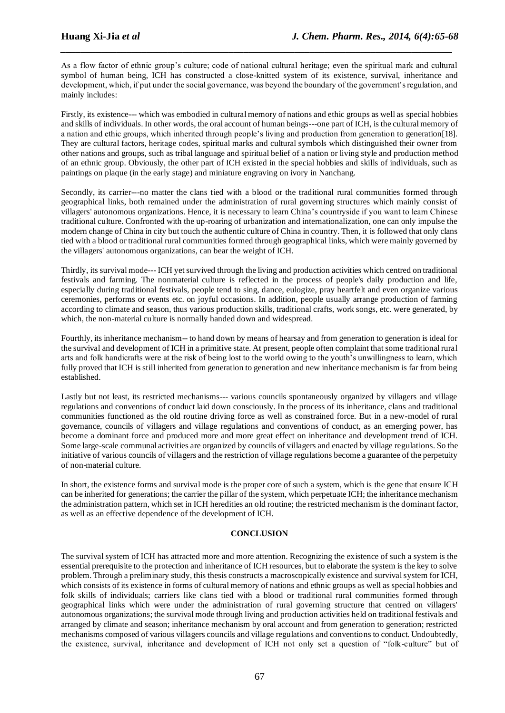As a flow factor of ethnic group's culture; code of national cultural heritage; even the spiritual mark and cultural symbol of human being, ICH has constructed a close-knitted system of its existence, survival, inheritance and development, which, if put under the social governance, was beyond the boundary of the government's regulation, and mainly includes:

*\_\_\_\_\_\_\_\_\_\_\_\_\_\_\_\_\_\_\_\_\_\_\_\_\_\_\_\_\_\_\_\_\_\_\_\_\_\_\_\_\_\_\_\_\_\_\_\_\_\_\_\_\_\_\_\_\_\_\_\_\_\_\_\_\_\_\_\_\_\_\_\_\_\_\_\_\_*

Firstly, its existence--- which was embodied in cultural memory of nations and ethic groups as well as special hobbies and skills of individuals. In other words, the oral account of human beings---one part of ICH, is the cultural memory of a nation and ethic groups, which inherited through people's living and production from generation to generation[18]. They are cultural factors, heritage codes, spiritual marks and cultural symbols which distinguished their owner from other nations and groups, such as tribal language and spiritual belief of a nation or living style and production method of an ethnic group. Obviously, the other part of ICH existed in the special hobbies and skills of individuals, such as paintings on plaque (in the early stage) and miniature engraving on ivory in Nanchang.

Secondly, its carrier---no matter the clans tied with a blood or the traditional rural communities formed through geographical links, both remained under the administration of rural governing structures which mainly consist of villagers' autonomous organizations. Hence, it is necessary to learn China's countryside if you want to learn Chinese traditional culture. Confronted with the up-roaring of urbanization and internationalization, one can only impulse the modern change of China in city but touch the authentic culture of China in country. Then, it is followed that only clans tied with a blood or traditional rural communities formed through geographical links, which were mainly governed by the villagers' autonomous organizations, can bear the weight of ICH.

Thirdly, its survival mode--- ICH yet survived through the living and production activities which centred on traditional festivals and farming. The nonmaterial culture is reflected in the process of people's daily production and life, especially during traditional festivals, people tend to sing, dance, eulogize, pray heartfelt and even organize various ceremonies, performs or events etc. on joyful occasions. In addition, people usually arrange production of farming according to climate and season, thus various production skills, traditional crafts, work songs, etc. were generated, by which, the non-material culture is normally handed down and widespread.

Fourthly, its inheritance mechanism-- to hand down by means of hearsay and from generation to generation is ideal for the survival and development of ICH in a primitive state. At present, people often complaint that some traditional rural arts and folk handicrafts were at the risk of being lost to the world owing to the youth's unwillingness to learn, which fully proved that ICH is still inherited from generation to generation and new inheritance mechanism is far from being established.

Lastly but not least, its restricted mechanisms--- various councils spontaneously organized by villagers and village regulations and conventions of conduct laid down consciously. In the process of its inheritance, clans and traditional communities functioned as the old routine driving force as well as constrained force. But in a new-model of rural governance, councils of villagers and village regulations and conventions of conduct, as an emerging power, has become a dominant force and produced more and more great effect on inheritance and development trend of ICH. Some large-scale communal activities are organized by councils of villagers and enacted by village regulations. So the initiative of various councils of villagers and the restriction of village regulations become a guarantee of the perpetuity of non-material culture.

In short, the existence forms and survival mode is the proper core of such a system, which is the gene that ensure ICH can be inherited for generations; the carrier the pillar of the system, which perpetuate ICH; the inheritance mechanism the administration pattern, which set in ICH heredities an old routine; the restricted mechanism is the dominant factor, as well as an effective dependence of the development of ICH.

#### **CONCLUSION**

The survival system of ICH has attracted more and more attention. Recognizing the existence of such a system is the essential prerequisite to the protection and inheritance of ICH resources, but to elaborate the system is the key to solve problem. Through a preliminary study, this thesis constructs a macroscopically existence and survival system for ICH, which consists of its existence in forms of cultural memory of nations and ethnic groups as well as special hobbies and folk skills of individuals; carriers like clans tied with a blood or traditional rural communities formed through geographical links which were under the administration of rural governing structure that centred on villagers' autonomous organizations; the survival mode through living and production activities held on traditional festivals and arranged by climate and season; inheritance mechanism by oral account and from generation to generation; restricted mechanisms composed of various villagers councils and village regulations and conventions to conduct. Undoubtedly, the existence, survival, inheritance and development of ICH not only set a question of "folk-culture" but of